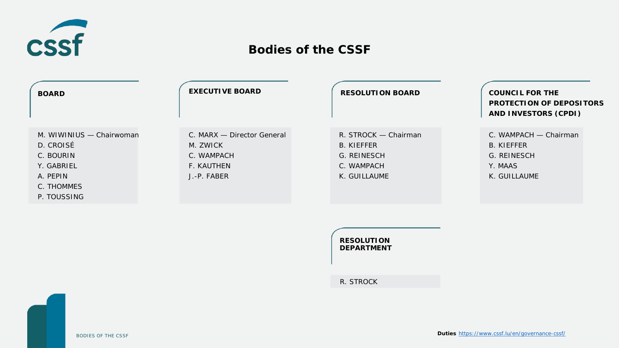

# **Bodies of the CSSF**

| <b>BOARD</b>                          | <b>EXECUTIVE BOARD</b>                 | <b>RESOLUTION BOARD</b>                   | <b>COUNCIL FOR THE</b><br><b>PROTECTION OF DEPOSITORS</b><br><b>AND INVESTORS (CPDI)</b> |
|---------------------------------------|----------------------------------------|-------------------------------------------|------------------------------------------------------------------------------------------|
| M. WIWINIUS - Chairwoman<br>D. CROISÉ | C. MARX - Director General<br>M. ZWICK | R. STROCK - Chairman<br><b>B. KIEFFER</b> | C. WAMPACH - Chairman<br><b>B. KIEFFER</b>                                               |
| C. BOURIN                             | C. WAMPACH                             | G. REINESCH                               | G. REINESCH                                                                              |
| Y. GABRIEL                            | F. KAUTHEN                             | C. WAMPACH                                | Y. MAAS                                                                                  |
| A. PEPIN                              | J.-P. FABER                            | K. GUILLAUME                              | K. GUILLAUME                                                                             |
| C. THOMMES                            |                                        |                                           |                                                                                          |
| P. TOUSSING                           |                                        |                                           |                                                                                          |

| <b>RESOLUTION</b><br><b>DEPARTMENT</b> |  |
|----------------------------------------|--|
|                                        |  |

R. STROCK